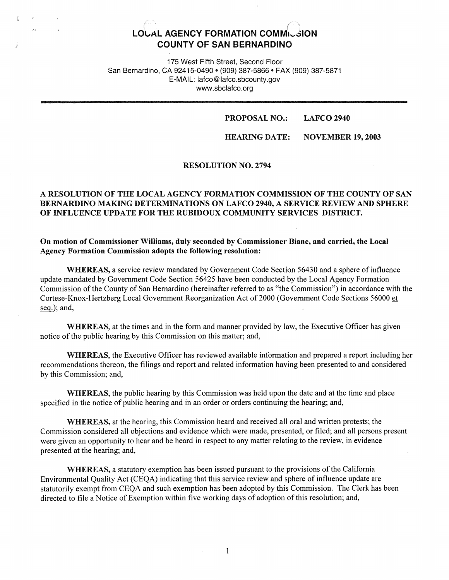# r~ *r~*  **LOl,AL AGENCY FORMATION COMM1 k .. JION COUNTY OF SAN BERNARDINO**

175 West Fifth Street, Second Floor San Bernardino, CA 92415-0490 • (909) 387-5866 • FAX (909) 387-5871 E-MAIL: lafco@lafco.sbcounty.gov www.sbclafco.org

#### **PROPOSAL NO.: LAFCO 2940**

**HEARING DATE: NOVEMBER 19, 2003** 

## **RESOLUTION NO. 2794**

# A RESOLUTION OF THE LOCAL AGENCY FORMATION COMMISSION OF THE COUNTY OF SAN BERNARDINO MAKING DETERMINATIONS ON LAFCO 2940, A SERVICE REVIEW AND SPHERE OF INFLUENCE UPDATE FOR THE RUBIDOUX COMMUNITY SERVICES DISTRICT.

**On motion of Commissioner Williams, duly seconded by Commissioner Biane, and carried, the Local Agency Formation Commission adopts the following resolution:** 

**WHEREAS,** a service review mandated by Government Code Section 56430 and a sphere of influence update mandated by Government Code Section 56425 have been conducted by the Local Agency Formation Commission of the County of San Bernardino (hereinafter referred to as "the Commission") in accordance with the Cortese-Knox-Hertzberg Local Government Reorganization Act of 2000 (Government Code Sections 56000 et seq.); and,

**WHEREAS,** at the times and in the form and manner provided by law, the Executive Officer has given notice of the public hearing by this Commission on this matter; and,

**WHEREAS,** the Executive Officer has reviewed available information and prepared a report including her recommendations thereon, the filings and report and related information having been presented to and considered by this Commission; and,

**WHEREAS,** the public hearing by this Commission was held upon the date and at the time and place specified in the notice of public hearing and in an order or orders continuing the hearing; and,

**WHEREAS,** at the hearing, this Commission heard and received all oral and written protests; the Commission considered all objections and evidence which were made, presented, or filed; and all persons present were given an opportunity to hear and be heard in respect to any matter relating to the review, in evidence presented at the hearing; and,

**WHEREAS,** a statutory exemption has been issued pursuant to the provisions of the California Environmental Quality Act (CEQA) indicating that this service review and sphere of influence update are statutorily exempt from CEQA and such exemption has been adopted by this Commission. The Clerk has been directed to file a Notice of Exemption within five working days of adoption of this resolution; and,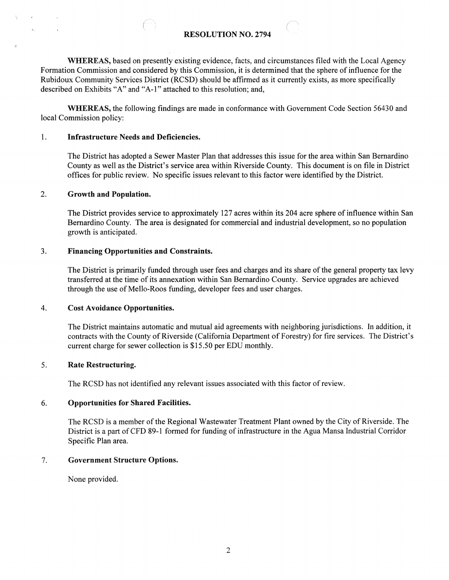# **RESOLUTION NO. 2794**

**WHEREAS,** based on presently existing evidence, facts, and circumstances filed with the Local Agency Formation Commission and considered by this Commission, it is determined that the sphere of influence for the Rubidoux Community Services District (RCSD) should be affirmed as it currently exists, as more specifically described on Exhibits "A" and "A-1" attached to this resolution; and,

**WHEREAS,** the following findings are made in conformance with Government Code Section 56430 and local Commission policy:

#### 1. **Infrastructure Needs and Deficiencies.**

The District has adopted a Sewer Master Plan that addresses this issue for the area within San Bernardino County as well as the District's service area within Riverside County. This document is on file in District offices for public review. No specific issues relevant to this factor were identified by the District.

### 2. **Growth and Population.**

The District provides service to approximately 127 acres within its 204 acre sphere of influence within San Bernardino County. The area is designated for commercial and industrial development, so no population growth is anticipated.

#### 3. **Financing Opportunities and Constraints.**

The District is primarily funded through user fees and charges and its share of the general property tax levy transferred at the time of its annexation within San Bernardino County. Service upgrades are achieved through the use of Mello-Roos funding, developer fees and user charges.

#### 4. **Cost Avoidance Opportunities.**

The District maintains automatic and mutual aid agreements with neighboring jurisdictions. In addition, it contracts with the County of Riverside (California Department of Forestry) for fire services. The District's current charge for sewer collection is \$15.50 per EDU monthly.

#### 5. **Rate Restructuring.**

The RCSD has not identified any relevant issues associated with this factor of review.

### 6. **Opportunities for Shared Facilities.**

The RCSD is a member of the Regional Wastewater Treatment Plant owned by the City of Riverside. The District is a part of CFD 89-1 formed for funding of infrastructure in the Agua Mansa Industrial Corridor Specific Plan area.

#### 7. **Government Structure Options.**

None provided.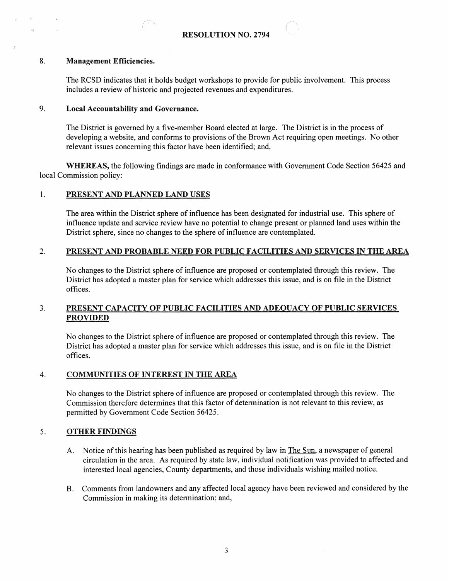

### **8. Management Efficiencies.**

The RCSD indicates that it holds budget workshops to provide for public involvement. This process includes a review of historic and projected revenues and expenditures.

# 9. **Local Accountability and Governance.**

The District is governed by a five-member Board elected at large. The District is in the process of developing a website, and conforms to provisions of the Brown Act requiring open meetings. No other relevant issues concerning this factor have been identified; and,

**WHEREAS,** the following findings are made in conformance with Government Code Section 56425 and local Commission policy:

# 1. **PRESENT AND PLANNED LAND USES**

The area within the District sphere of influence has been designated for industrial use. This sphere of influence update and service review have no potential to change present or planned land uses within the District sphere, since no changes to the sphere of influence are contemplated.

# 2. **PRESENT AND PROBABLE NEED FOR PUBLIC FACILITIES AND SERVICES** IN **IBE AREA**

No changes to the District sphere of influence are proposed or contemplated through this review. The District has adopted a master plan for service which addresses this issue, and is on file in the District offices.

# 3. **PRESENT CAPACITY OF PUBLIC FACILITIES AND ADEQUACY OF PUBLIC SERVICES PROVIDED**

No changes to the District sphere of influence are proposed or contemplated through this review. The District has adopted a master plan for service which addresses this issue, and is on file in the District offices.

# 4. **COMMUNITIES OF INTEREST IN THE AREA**

No changes to the District sphere of influence are proposed or contemplated through this review. The Commission therefore determines that this factor of determination is not relevant to this review, as permitted by Government Code Section 56425.

# 5. **OTHER FINDINGS**

- A. Notice of this hearing has been published as required by law in The Sun, a newspaper of general circulation in the area. As required by state law, individual notification was provided to affected and interested local agencies, County departments, and those individuals wishing mailed notice.
- B. Comments from landowners and any affected local agency have been reviewed and considered by the Commission in making its determination; and,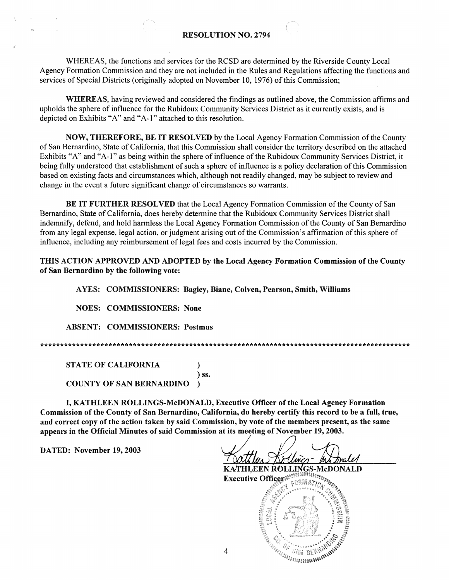# **RESOLUTION NO. 2794**

WHEREAS, the functions and services for the RCSD are determined by the Riverside County Local Agency Formation Commission and they are not included in the Rules and Regulations affecting the functions and services of Special Districts (originally adopted on November 10, 1976) of this Commission;

WHEREAS, having reviewed and considered the findings as outlined above, the Commission affirms and upholds the sphere of influence for the Rubidoux Community Services District as it currently exists, and is depicted on Exhibits "A" and "A-1" attached to this resolution.

**NOW, THEREFORE, BE IT RESOLVED** by the Local Agency Formation Commission of the County of San Bernardino, State of California, that this Commission shall consider the territory described on the attached Exhibits "A" and "A-1" as being within the sphere of influence of the Rubidoux Community Services District, it being fully understood that establishment of such a sphere of influence is a policy declaration of this Commission based on existing facts and circumstances which, although not readily changed, may be subject to review and change in the event a future significant change of circumstances so warrants.

**BE IT FURTHER RESOLVED** that the Local Agency Formation Commission of the County of San Bernardino, State of California, does hereby determine that the Rubidoux Community Services District shall indemnify, defend, and hold harmless the Local Agency Formation Commission of the County of San Bernardino from any legal expense, legal action, or judgment arising out of the Commission's affirmation of this sphere of influence, including any reimbursement of legal fees and costs incurred by the Commission.

THIS ACTION APPROVED AND ADOPTED by the Local Agency Formation Commission of the County of San Bernardino by the following vote:

AYES: COMMISSIONERS: Bagley, Biane, Colven, Pearson, Smith, Williams

**NOES: COMMISSIONERS: None** 

**ABSENT: COMMISSIONERS: Postmus** 

 $\lambda$ ) ss.

**STATE OF CALIFORNIA** 

**COUNTY OF SAN BERNARDINO**  $\lambda$ 

I, KATHLEEN ROLLINGS-McDONALD, Executive Officer of the Local Agency Formation Commission of the County of San Bernardino, California, do hereby certify this record to be a full, true, and correct copy of the action taken by said Commission, by vote of the members present, as the same appears in the Official Minutes of said Commission at its meeting of November 19, 2003.

DATED: November 19, 2003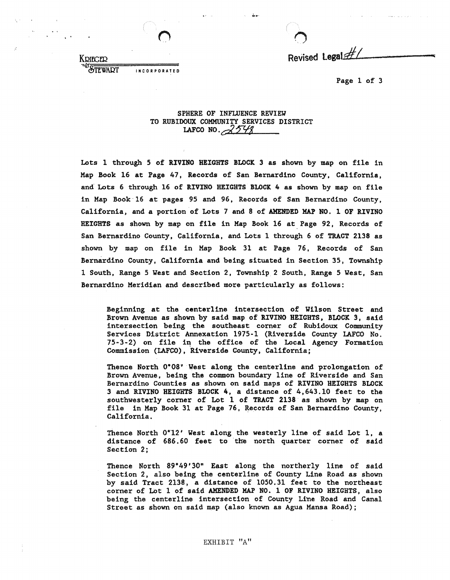KDIEGED

STEWART

INCORPORATED

 $\bigcirc$ Revised Legal:#1

Page 1 of 3

#### SPHERE OF INFLUENCE REVIEW TO RUBIDOUX COMMUNITY SERVICES DISTRICT LAFCO NO. 2548

Lots l through 5 of RIVINO HEIGHTS BLOCK 3 as shown by map on file in Map Book 16 at Page 47, Records of San Bernardino County, California, and Lots 6 through 16 of RIVINO HEIGHTS BLOCK 4 as shown by map on file in Map Book 16 at pages 95 and 96, Records of San Bernardino County, California, and a portion of Lots 7 and 8 of AMENDED MAP NO. l OF RIVINO HEIGHTS as shown by map on file in Map Book 16 at Page 92, Records of San Bernardino County, California, and Lots 1 through 6 of TRACT 2138 as shown by map on file in Map Book 31 at Page 76, Records of San Bernardino County, California and being situated in Section 35, Township 1 South, Range 5 Yest and Section 2, Township 2 South, Range 5 West, San Bernardino Meridian and described more particularly as follows:

Beginning at the centerline intersection of Wilson Street and Brown Avenue as shown by said **map** of RIVINO HEIGHTS, BLOCK 3, said intersection being the southeast corner of Rubidoux Community Services District Annexation 1975-1 (Riverside County I.AFCO No.  $75-3-2$ ) on file in the office of the Local Agency Formation Commission (IAFCO), Riverside County, California;

Thence North 0°08' West along the centerline and prolongation of Brown Avenue, being the common boundary line of Riverside and San Bernardino Counties as shown on said maps of RIVINO HEIGHTS BLOCK 3 and RIVINO HEIGHTS **BLOCK 4,** a distance of 4,643.10 feet to the southwesterly corner of Lot 1 of TRACT 2138 as shown by map on file in Map Book 31 at Page 76, Records of San Bernardino County, California.

Thence North 0°12' West along the westerly line of said Lot 1, a distance of 686. 60 feet to the north quarter corner of **said**  Section 2;

Thence North 89°49'30" East along the northerly line of said Section 2, also being the centerline of County Line Road as shown by said Tract 2138, a distance of 1050.31 feet to the northeast corner of Lot 1 of said AMENDED MAP NO. 1 OF RIVINO HEIGHTS, also being the centerline intersection of County Line Road and Canal Street as shown on said map (also known as Agua Mansa Road);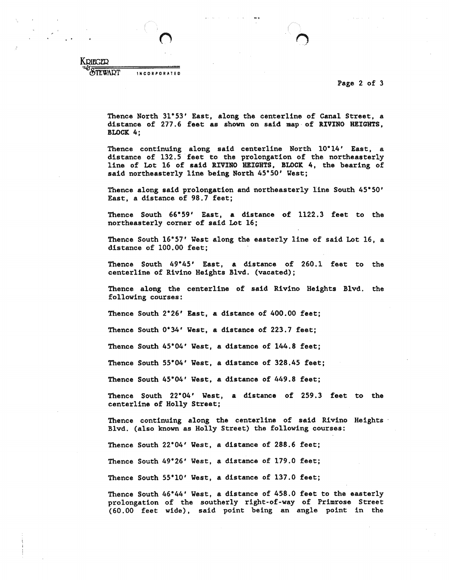Page 2 of 3

 $\lambda$ 

KRIEGER<br><sup>46</sup>Stewart INCORPORATED

> Thence North 31°53' East, along the centerline of Canal Street, a distance of 277 .6 feet as shown on said **map·** of l.IVINO HEIGHTS, BLOCK 4;

> Thence continuing along said centerline North 10°14' East, a distance of 132.5 feet to the prolongation of the northeasterly line of Lot 16 of said RIVINO HEIGHTS, BLOCK 4, the bearing of said northeasterly line being North 45•50• West:

> Thence along said prolongation and northeasterly line South 45•50• East, a distance of 98.7 feet;

> Thence South 66•59' East, a distance of 1122.3 feet to the northeasterly corner of said Lot 16;

> Thence South 16•57• West along the easterly line of said Lot 16, a distance of 100.00 feet;

> Thence South 49•45, **East, a** distance of 260.1 feet to the centerline of Rivino Heights Blvd. (vacated);

> Thence along the centerline of **said** Rivino Heights Blvd, the following courses:

Thence South 2°26' East, a distance of 400.00 feet;

Thence South 0•34• **West,** a distance of 223.7 feet;

Thence South 45°04' West, a distance of 144.8 feet;

Thence South 55•04• West, a distance of 328.45 feet;

Thence South 45•04• West, a distance of 449.8 feet;

Thence South 22•04• Vest, a distance of 259.3 feet to the centerline of Holly Street;

Thence continuing along the centerline of said Rivino Heights · Blvd. (also known as Holly Street) the following courses:

Thence South 22°04' West, a distance of 288.6 feet;

Thence South 49•26' West, a distance of 179.0 feet;

Thence South 55•10' West, a distance of 137.0 feet;

Thence South 46•44' West, a distance of 458.0 feet to the easterly prolongation of the southerly right-of-way of Primrose Street (60.00 feet wide), **said** point being an angle point in the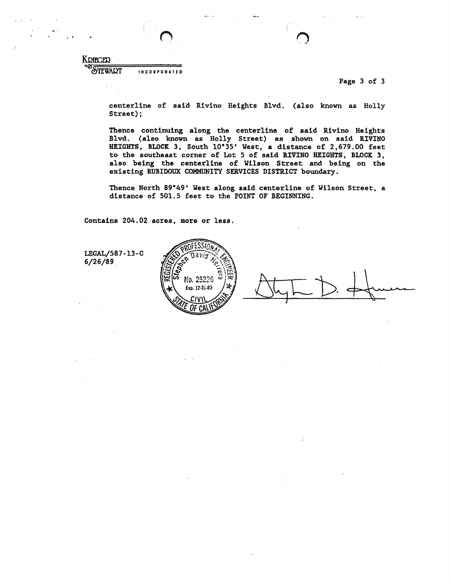KDIEGER

STEWART IIICORPORAIED

Page 3 of 3

centerline of said Rivino Heights Blvd. (also known as Holly Street);

Thence continuing along the centerline of said Rivino Heights Blvd. (also known as Holly Street) as shown on said RIVINO HEIGHTS, BLOCK 3, South 10°35' West, a distance of 2,679.00 feet to the southeast corner of Lot 5 of said RIVINO HEIGHTS, BLOCK 3, also being the centerline of Wilson Street and being on the existing RUBIDOUX COMMUNITY SERVICES DISTRICT boundary.

Thence North 89°49' West along said centerline of Wilson Street, a distance of 501.5 feet to the POINT OF BEGINNING.

Contains 204.02 acres, more or less.



 $\cdot$